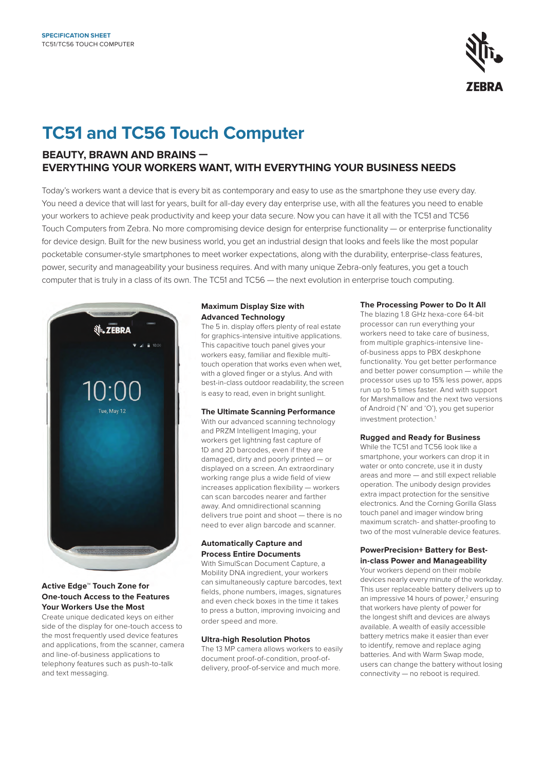

# **TC51 and TC56 Touch Computer**

# **BEAUTY, BRAWN AND BRAINS — EVERYTHING YOUR WORKERS WANT, WITH EVERYTHING YOUR BUSINESS NEEDS**

Today's workers want a device that is every bit as contemporary and easy to use as the smartphone they use every day. You need a device that will last for years, built for all-day every day enterprise use, with all the features you need to enable your workers to achieve peak productivity and keep your data secure. Now you can have it all with the TC51 and TC56 Touch Computers from Zebra. No more compromising device design for enterprise functionality — or enterprise functionality for device design. Built for the new business world, you get an industrial design that looks and feels like the most popular pocketable consumer-style smartphones to meet worker expectations, along with the durability, enterprise-class features, power, security and manageability your business requires. And with many unique Zebra-only features, you get a touch computer that is truly in a class of its own. The TC51 and TC56 — the next evolution in enterprise touch computing.



## **Active Edge™ Touch Zone for One-touch Access to the Features Your Workers Use the Most**

Create unique dedicated keys on either side of the display for one-touch access to the most frequently used device features and applications, from the scanner, camera and line-of-business applications to telephony features such as push-to-talk and text messaging.

# **Maximum Display Size with Advanced Technology**

The 5 in. display offers plenty of real estate for graphics-intensive intuitive applications. This capacitive touch panel gives your workers easy, familiar and flexible multitouch operation that works even when wet, with a gloved finger or a stylus. And with best-in-class outdoor readability, the screen is easy to read, even in bright sunlight.

## **The Ultimate Scanning Performance**

With our advanced scanning technology and PRZM Intelligent Imaging, your workers get lightning fast capture of 1D and 2D barcodes, even if they are damaged, dirty and poorly printed — or displayed on a screen. An extraordinary working range plus a wide field of view increases application flexibility — workers can scan barcodes nearer and farther away. And omnidirectional scanning delivers true point and shoot — there is no need to ever align barcode and scanner.

# **Automatically Capture and Process Entire Documents**

With SimulScan Document Capture, a Mobility DNA ingredient, your workers can simultaneously capture barcodes, text fields, phone numbers, images, signatures and even check boxes in the time it takes to press a button, improving invoicing and order speed and more.

# **Ultra-high Resolution Photos**

The 13 MP camera allows workers to easily document proof-of-condition, proof-ofdelivery, proof-of-service and much more.

# **The Processing Power to Do It All**

The blazing 1.8 GHz hexa-core 64-bit processor can run everything your workers need to take care of business, from multiple graphics-intensive lineof-business apps to PBX deskphone functionality. You get better performance and better power consumption — while the processor uses up to 15% less power, apps run up to 5 times faster. And with support for Marshmallow and the next two versions of Android ('N' and 'O'), you get superior investment protection.1

## **Rugged and Ready for Business**

While the TC51 and TC56 look like a smartphone, your workers can drop it in water or onto concrete, use it in dusty areas and more — and still expect reliable operation. The unibody design provides extra impact protection for the sensitive electronics. And the Corning Gorilla Glass touch panel and imager window bring maximum scratch- and shatter-proofing to two of the most vulnerable device features.

# **PowerPrecision+ Battery for Bestin-class Power and Manageability**

Your workers depend on their mobile devices nearly every minute of the workday. This user replaceable battery delivers up to an impressive 14 hours of power,<sup>2</sup> ensuring that workers have plenty of power for the longest shift and devices are always available. A wealth of easily accessible battery metrics make it easier than ever to identify, remove and replace aging batteries. And with Warm Swap mode, users can change the battery without losing connectivity — no reboot is required.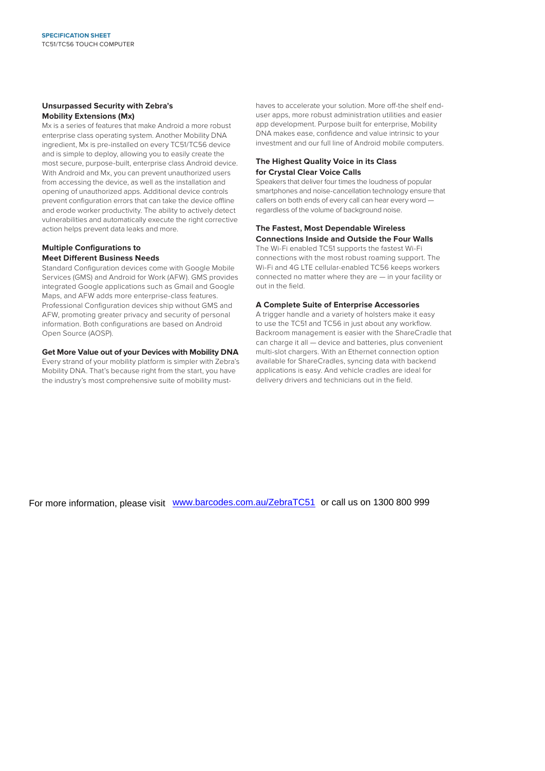### **Unsurpassed Security with Zebra's Mobility Extensions (Mx)**

Mx is a series of features that make Android a more robust enterprise class operating system. Another Mobility DNA ingredient, Mx is pre-installed on every TC51/TC56 device and is simple to deploy, allowing you to easily create the most secure, purpose-built, enterprise class Android device. With Android and Mx, you can prevent unauthorized users from accessing the device, as well as the installation and opening of unauthorized apps. Additional device controls prevent configuration errors that can take the device offline and erode worker productivity. The ability to actively detect vulnerabilities and automatically execute the right corrective action helps prevent data leaks and more.

# **Multiple Configurations to**

# **Meet Different Business Needs**

Standard Configuration devices come with Google Mobile Services (GMS) and Android for Work (AFW). GMS provides integrated Google applications such as Gmail and Google Maps, and AFW adds more enterprise-class features. Professional Configuration devices ship without GMS and AFW, promoting greater privacy and security of personal information. Both configurations are based on Android Open Source (AOSP).

### **Get More Value out of your Devices with Mobility DNA**

Every strand of your mobility platform is simpler with Zebra's Mobility DNA. That's because right from the start, you have the industry's most comprehensive suite of mobility musthaves to accelerate your solution. More off-the shelf enduser apps, more robust administration utilities and easier app development. Purpose built for enterprise, Mobility DNA makes ease, confidence and value intrinsic to your investment and our full line of Android mobile computers.

# **The Highest Quality Voice in its Class for Crystal Clear Voice Calls**

Speakers that deliver four times the loudness of popular smartphones and noise-cancellation technology ensure that callers on both ends of every call can hear every word regardless of the volume of background noise.

## **The Fastest, Most Dependable Wireless Connections Inside and Outside the Four Walls**

The Wi-Fi enabled TC51 supports the fastest Wi-Fi connections with the most robust roaming support. The Wi-Fi and 4G LTE cellular-enabled TC56 keeps workers connected no matter where they are — in your facility or out in the field.

### **A Complete Suite of Enterprise Accessories**

A trigger handle and a variety of holsters make it easy to use the TC51 and TC56 in just about any workflow. Backroom management is easier with the ShareCradle that can charge it all — device and batteries, plus convenient multi-slot chargers. With an Ethernet connection option available for ShareCradles, syncing data with backend applications is easy. And vehicle cradles are ideal for delivery drivers and technicians out in the field.

For more information, please visit [www.barcodes.com.au/ZebraTC51](https://www.barcodes.com.au/zebra-tc51-handheld-scanner/) or call us on 1300 800 999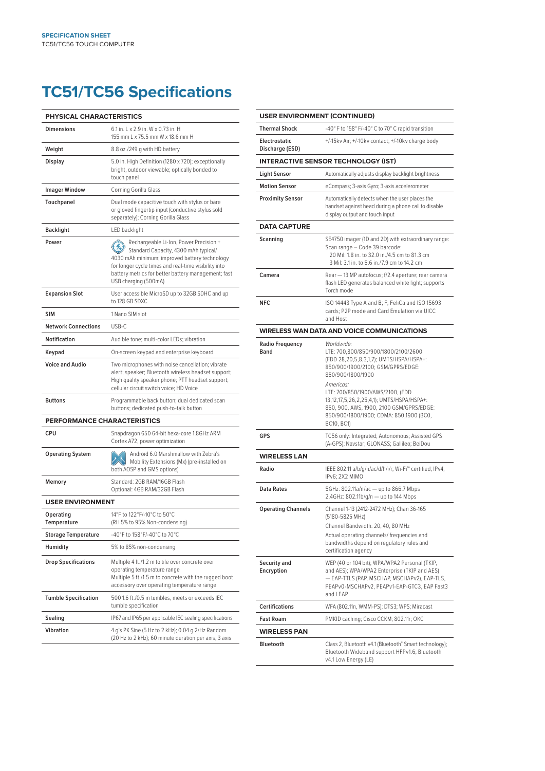# **TC51/TC56 Specifications**

| <b>PHYSICAL CHARACTERISTICS</b> |                                                                                                                                                                                                                                                                        |
|---------------------------------|------------------------------------------------------------------------------------------------------------------------------------------------------------------------------------------------------------------------------------------------------------------------|
| <b>Dimensions</b>               | 6.1 in. L x 2.9 in. W x 0.73 in. H<br>155 mm L x 75.5 mm W x 18.6 mm H                                                                                                                                                                                                 |
| Weight                          | 8.8 oz./249 g with HD battery                                                                                                                                                                                                                                          |
| Display                         | 5.0 in. High Definition (1280 x 720); exceptionally<br>bright, outdoor viewable; optically bonded to<br>touch panel                                                                                                                                                    |
| <b>Imager Window</b>            | Corning Gorilla Glass                                                                                                                                                                                                                                                  |
| Touchpanel                      | Dual mode capacitive touch with stylus or bare<br>or gloved fingertip input (conductive stylus sold<br>separately); Corning Gorilla Glass                                                                                                                              |
| <b>Backlight</b>                | LED backlight                                                                                                                                                                                                                                                          |
| Power                           | Rechargeable Li-Ion, Power Precision +<br>Standard Capacity, 4300 mAh typical/<br>4030 mAh minimum; improved battery technology<br>for longer cycle times and real-time visibility into<br>battery metrics for better battery management; fast<br>USB charging (500mA) |
| <b>Expansion Slot</b>           | User accessible MicroSD up to 32GB SDHC and up<br>to 128 GB SDXC                                                                                                                                                                                                       |
| <b>SIM</b>                      | 1 Nano SIM slot                                                                                                                                                                                                                                                        |
| <b>Network Connections</b>      | USB-C                                                                                                                                                                                                                                                                  |
| Notification                    | Audible tone; multi-color LEDs; vibration                                                                                                                                                                                                                              |
| Keypad                          | On-screen keypad and enterprise keyboard                                                                                                                                                                                                                               |
| <b>Voice and Audio</b>          | Two microphones with noise cancellation; vibrate<br>alert; speaker; Bluetooth wireless headset support;<br>High quality speaker phone; PTT headset support;<br>cellular circuit switch voice; HD Voice                                                                 |
| <b>Buttons</b>                  | Programmable back button; dual dedicated scan<br>buttons; dedicated push-to-talk button                                                                                                                                                                                |
| PERFORMANCE CHARACTERISTICS     |                                                                                                                                                                                                                                                                        |
| <b>CPU</b>                      | Snapdragon 650 64-bit hexa-core 1.8GHz ARM<br>Cortex A72, power optimization                                                                                                                                                                                           |
| <b>Operating System</b>         | Android 6.0 Marshmallow with Zebra's<br>Mobility Extensions (Mx) (pre-installed on<br>both AOSP and GMS options)                                                                                                                                                       |
| Memory                          | Standard: 2GB RAM/16GB Flash<br>Optional: 4GB RAM/32GB Flash                                                                                                                                                                                                           |
| <b>USER ENVIRONMENT</b>         |                                                                                                                                                                                                                                                                        |
| Operating<br>Temperature        | 14°F to 122°F/-10°C to 50°C<br>(RH 5% to 95% Non-condensing)                                                                                                                                                                                                           |
| <b>Storage Temperature</b>      | -40°F to 158°F/-40°C to 70°C                                                                                                                                                                                                                                           |
| Humidity                        | 5% to 85% non-condensing                                                                                                                                                                                                                                               |
| <b>Drop Specifications</b>      | Multiple 4 ft./1.2 m to tile over concrete over<br>operating temperature range<br>Multiple 5 ft./1.5 m to concrete with the rugged boot<br>accessory over operating temperature range                                                                                  |
| <b>Tumble Specification</b>     | 500 1.6 ft./0.5 m tumbles, meets or exceeds IEC<br>tumble specification                                                                                                                                                                                                |
| Sealing                         | IP67 and IP65 per applicable IEC sealing specifications                                                                                                                                                                                                                |
| Vibration                       | 4 g's PK Sine (5 Hz to 2 kHz); 0.04 g 2/Hz Random<br>(20 Hz to 2 kHz); 60 minute duration per axis, 3 axis                                                                                                                                                             |

| <b>USER ENVIRONMENT (CONTINUED)</b>        |                                                                                                                                                                                                          |
|--------------------------------------------|----------------------------------------------------------------------------------------------------------------------------------------------------------------------------------------------------------|
| <b>Thermal Shock</b>                       | -40° F to 158° F/-40° C to 70° C rapid transition                                                                                                                                                        |
| <b>Electrostatic</b><br>Discharge (ESD)    | +/-15kv Air; +/-10kv contact; +/-10kv charge body                                                                                                                                                        |
| <b>INTERACTIVE SENSOR TECHNOLOGY (IST)</b> |                                                                                                                                                                                                          |
| <b>Light Sensor</b>                        | Automatically adjusts display backlight brightness                                                                                                                                                       |
| <b>Motion Sensor</b>                       | eCompass; 3-axis Gyro; 3-axis accelerometer                                                                                                                                                              |
| <b>Proximity Sensor</b>                    | Automatically detects when the user places the<br>handset against head during a phone call to disable<br>display output and touch input                                                                  |
| <b>DATA CAPTURE</b>                        |                                                                                                                                                                                                          |
| Scanning                                   | SE4750 imager (1D and 2D) with extraordinary range:<br>Scan range - Code 39 barcode:<br>20 Mil: 1.8 in. to 32.0 in./4.5 cm to 81.3 cm<br>3 Mil: 3.1 in. to 5.6 in./7.9 cm to 14.2 cm                     |
| Camera                                     | Rear - 13 MP autofocus; f/2.4 aperture; rear camera<br>flash LED generates balanced white light; supports<br>Torch mode                                                                                  |
| NFC.                                       | ISO 14443 Type A and B; F; FeliCa and ISO 15693<br>cards; P2P mode and Card Emulation via UICC<br>and Host                                                                                               |
|                                            | <b>WIRELESS WAN DATA AND VOICE COMMUNICATIONS</b>                                                                                                                                                        |
| <b>Radio Frequency</b><br>Band             | Worldwide:<br>LTE: 700,800/850/900/1800/2100/2600<br>(FDD 28,20,5,8,3,1,7); UMTS/HSPA/HSPA+:<br>850/900/1900/2100; GSM/GPRS/EDGE:<br>850/900/1800/1900                                                   |
|                                            | Americas:<br>LTE: 700/850/1900/AWS/2100, (FDD<br>13,12,17,5,26,2,25,4,1); UMTS/HSPA/HSPA+:<br>850, 900, AWS, 1900, 2100 GSM/GPRS/EDGE:<br>850/900/1800/1900; CDMA: 850,1900 (BC0,<br>BC10, BC1)          |
| <b>GPS</b>                                 | TC56 only: Integrated; Autonomous; Assisted GPS<br>(A-GPS); Navstar; GLONASS; Gallileo; BeiDou                                                                                                           |
| <b>WIRELESS LAN</b>                        |                                                                                                                                                                                                          |
| Radio                                      | IEEE 802.11 a/b/g/n/ac/d/h/i/r; Wi-Fi" certified; IPv4,<br>IPv6; 2X2 MIMO                                                                                                                                |
| <b>Data Rates</b>                          | 5GHz: 802.11a/n/ac - up to 866.7 Mbps<br>2.4GHz: 802.11b/g/n - up to 144 Mbps                                                                                                                            |
| <b>Operating Channels</b>                  | Channel 1-13 (2412-2472 MHz); Chan 36-165<br>(5180-5825 MHz)<br>Channel Bandwidth: 20, 40, 80 MHz                                                                                                        |
|                                            | Actual operating channels/ frequencies and<br>bandwidths depend on regulatory rules and<br>certification agency                                                                                          |
| Security and<br>Encryption                 | WEP (40 or 104 bit); WPA/WPA2 Personal (TKIP,<br>and AES); WPA/WPA2 Enterprise (TKIP and AES)<br>- EAP-TTLS (PAP, MSCHAP, MSCHAPv2), EAP-TLS,<br>PEAPv0-MSCHAPv2, PEAPv1-EAP-GTC3, EAP Fast3<br>and LEAP |
| <b>Certifications</b>                      | WFA (802.11n, WMM-PS); DTS3; WPS; Miracast                                                                                                                                                               |
| <b>Fast Roam</b>                           | PMKID caching; Cisco CCKM; 802.11r; OKC                                                                                                                                                                  |
| <b>WIRELESS PAN</b>                        |                                                                                                                                                                                                          |
| <b>Bluetooth</b>                           | Class 2, Bluetooth v4.1 (Bluetooth® Smart technology);<br>Bluetooth Wideband support HFPv1.6; Bluetooth<br>v4.1 Low Energy (LE)                                                                          |
|                                            |                                                                                                                                                                                                          |